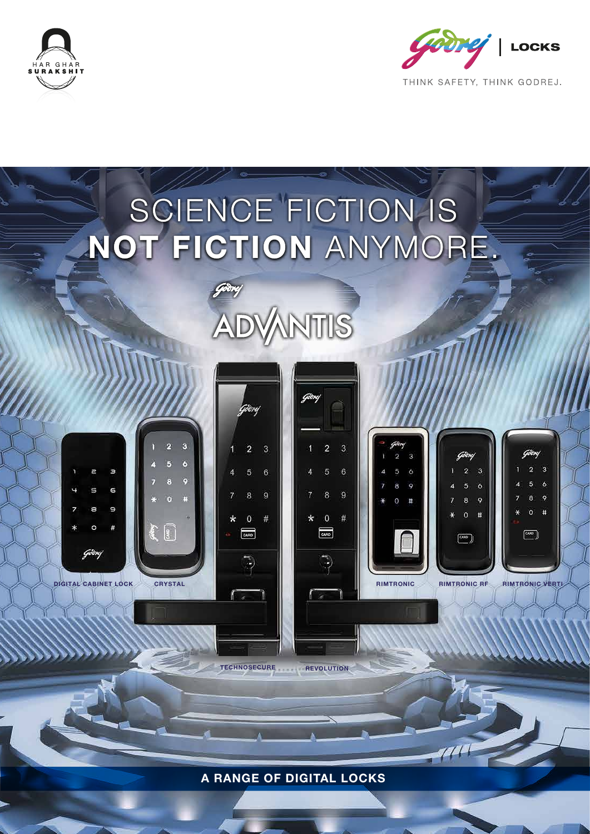





**TECHNOSECURE REVOLUTION**

A RANGE OF DIGITAL LOCKS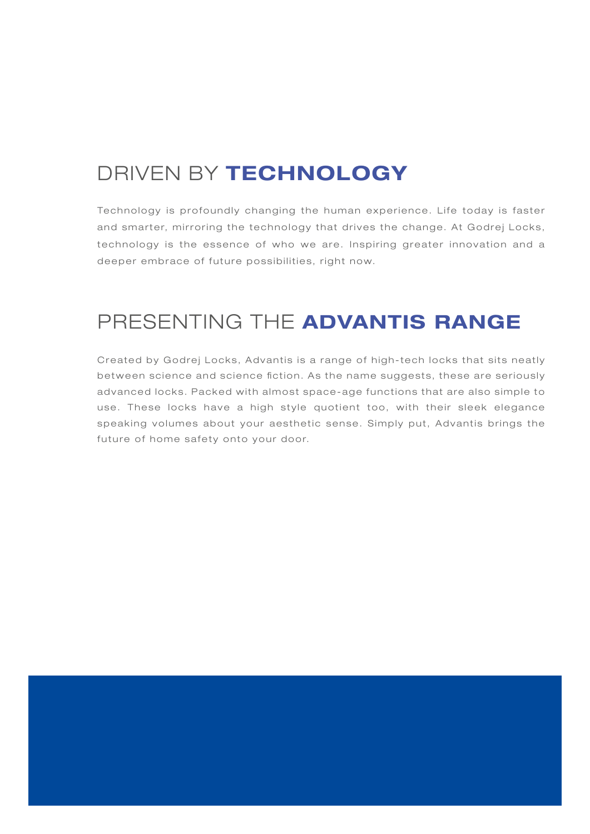# DRIVEN BY TECHNOLOGY

Technology is profoundly changing the human experience. Life today is faster and smarter, mirroring the technology that drives the change. At Godrej Locks, technology is the essence of who we are. Inspiring greater innovation and a deeper embrace of future possibilities, right now.

# PRESENTING THE ADVANTIS RANGE

Created by Godrej Locks, Advantis is a range of high-tech locks that sits neatly between science and science fiction. As the name suggests, these are seriously advanced locks. Packed with almost space-age functions that are also simple to use. These locks have a high style quotient too, with their sleek elegance speaking volumes about your aesthetic sense. Simply put, Advantis brings the future of home safety onto your door.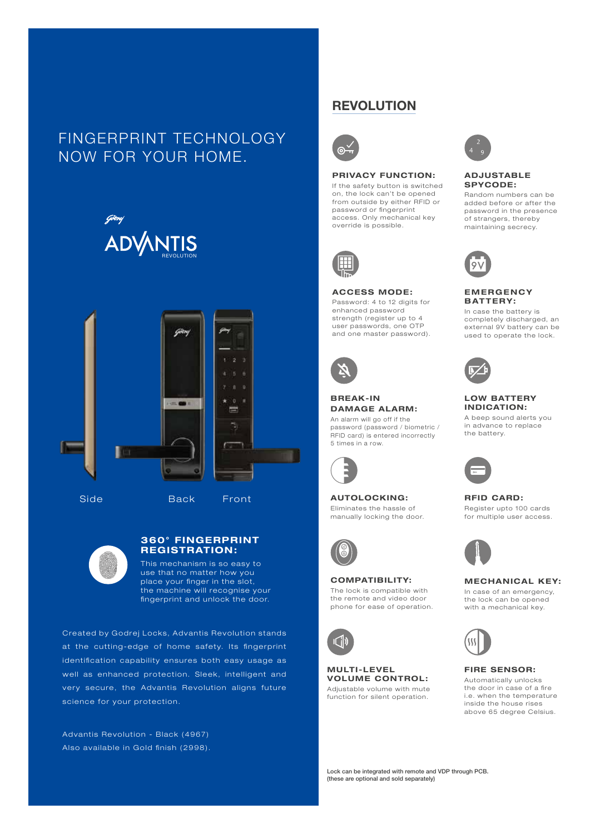# FINGERPRINT TECHNOLOGY NOW FOR YOUR HOME.





Side Back Front



## 360° FINGERPRINT REGISTRATION:

This mechanism is so easy to use that no matter how you place your finger in the slot, the machine will recognise your fingerprint and unlock the door.

Created by Godrej Locks, Advantis Revolution stands at the cutting-edge of home safety. Its fingerprint identification capability ensures both easy usage as well as enhanced protection. Sleek, intelligent and very secure, the Advantis Revolution aligns future science for your protection.

Advantis Revolution - Black (4967) Also available in Gold finish (2998).

## **REVOLUTION**



### PRIVACY FUNCTION:

If the safety button is switched on, the lock can't be opened from outside by either RFID or password or fingerprint access. Only mechanical key override is possible.



#### ACCESS MODE:

Password: 4 to 12 digits for enhanced password strength (register up to 4 user passwords, one OTP and one master password).



## BREAK-IN DAMAGE ALARM:

An alarm will go off if the password (password / biometric / RFID card) is entered incorrectly 5 times in a row.



AUTOLOCKING: Eliminates the hassle of manually locking the door.



## COMPATIBILITY: The lock is compatible with

the remote and video door phone for ease of operation.



#### MULTI-LEVEL VOLUME CONTROL: Adjustable volume with mute function for silent operation.



#### ADJUSTABLE SPYCODE:

Random numbers can be added before or after the password in the presence of strangers, thereby maintaining secrecy.



### **EMERGENCY** BATTERY:

In case the battery is completely discharged, an external 9V battery can be used to operate the lock.



## LOW BATTERY INDICATION:

A beep sound alerts you in advance to replace the battery.



#### RFID CARD: Register upto 100 cards for multiple user access.



## MECHANICAL KEY:

In case of an emergency, the lock can be opened with a mechanical key.



#### FIRE SENSOR:

Automatically unlocks the door in case of a fire i.e. when the temperature inside the house rises above 65 degree Celsius.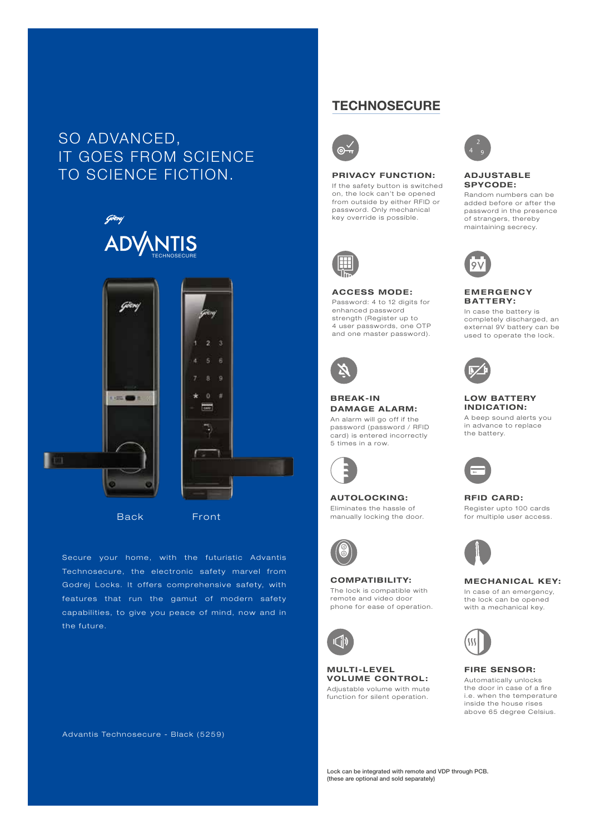# SO ADVANCED, IT GOES FROM SCIENCE TO SCIENCE FICTION.





Back Front

Secure your home, with the futuristic Advantis Technosecure, the electronic safety marvel from Godrej Locks. It offers comprehensive safety, with features that run the gamut of modern safety capabilities, to give you peace of mind, now and in the future.

Advantis Technosecure - Black (5259)

## **TECHNOSECURE**



#### PRIVACY FUNCTION:

If the safety button is switched on, the lock can't be opened from outside by either RFID or password. Only mechanical key override is possible.



#### ACCESS MODE:

Password: 4 to 12 digits for enhanced password strength (Register up to 4 user passwords, one OTP and one master password).



## BREAK-IN DAMAGE ALARM:

An alarm will go off if the password (password / RFID card) is entered incorrectly 5 times in a row.



AUTOLOCKING: Eliminates the hassle of manually locking the door.



#### COMPATIBILITY: The lock is compatible with remote and video door phone for ease of operation.



**MULTI-LEVEL** VOLUME CONTROL: Adjustable volume with mute function for silent operation.



#### ADJUSTABLE SPYCODE:

Random numbers can be added before or after the password in the presence of strangers, thereby maintaining secrecy.



#### **EMERGENCY** BATTERY:

In case the battery is completely discharged, an external 9V battery can be used to operate the lock.



### LOW BATTERY INDICATION:

A beep sound alerts you in advance to replace the battery.



#### RFID CARD: Register upto 100 cards for multiple user access.



## MECHANICAL KEY:

In case of an emergency, the lock can be opened with a mechanical key.



#### FIRE SENSOR:

Automatically unlocks the door in case of a fire i.e. when the temperature inside the house rises above 65 degree Celsius.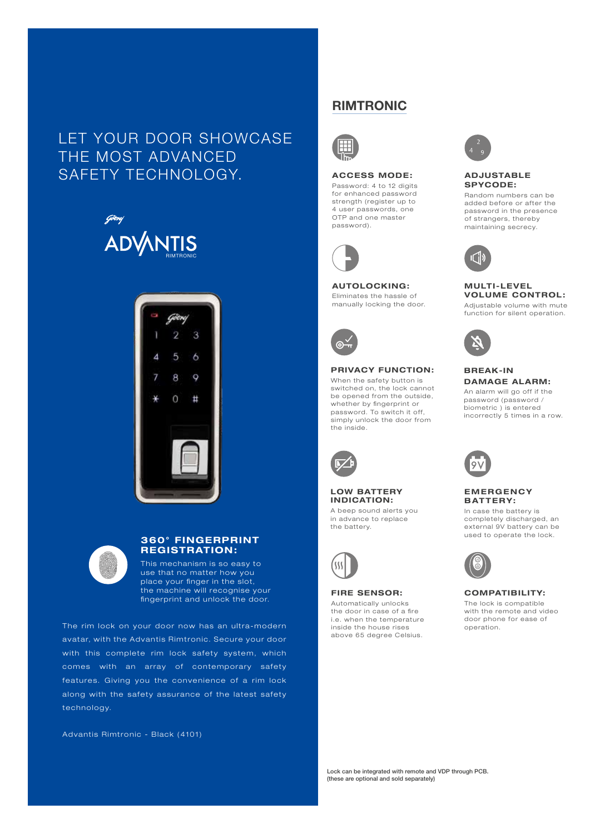# LET YOUR DOOR SHOWCASE THE MOST ADVANCED SAFETY TECHNOLOGY. ACCESS MODE:





| ı |  |
|---|--|
|   |  |

## 360° FINGERPRINT REGISTRATION:

This mechanism is so easy to use that no matter how you place your finger in the slot, the machine will recognise your fingerprint and unlock the door.

The rim lock on your door now has an ultra-modern avatar, with the Advantis Rimtronic. Secure your door with this complete rim lock safety system, which comes with an array of contemporary safety features. Giving you the convenience of a rim lock along with the safety assurance of the latest safety technology.

Advantis Rimtronic - Black (4101)

## RIMTRONIC



Password: 4 to 12 digits for enhanced password strength (register up to 4 user passwords, one OTP and one master password).



### AUTOLOCKING: Eliminates the hassle of

manually locking the door.



### PRIVACY FUNCTION: When the safety button is

switched on, the lock cannot be opened from the outside, whether by fingerprint or password. To switch it off, simply unlock the door from the inside.



### LOW BATTERY INDICATION:

A beep sound alerts you in advance to replace the battery.



## FIRE SENSOR:

Automatically unlocks the door in case of a fire i.e. when the temperature inside the house rises above 65 degree Celsius.



#### ADJUSTABLE SPYCODE:

Random numbers can be added before or after the password in the presence of strangers, thereby maintaining secrecy.



#### **MULTI-LEVEL** VOLUME CONTROL:

Adjustable volume with mute function for silent operation.



## BREAK-IN DAMAGE ALARM:

An alarm will go off if the password (password / biometric ) is entered incorrectly 5 times in a row.



### **EMERGENCY** BATTERY:

In case the battery is completely discharged, an external 9V battery can be used to operate the lock.



#### COMPATIBILITY:

The lock is compatible with the remote and video door phone for ease of operation.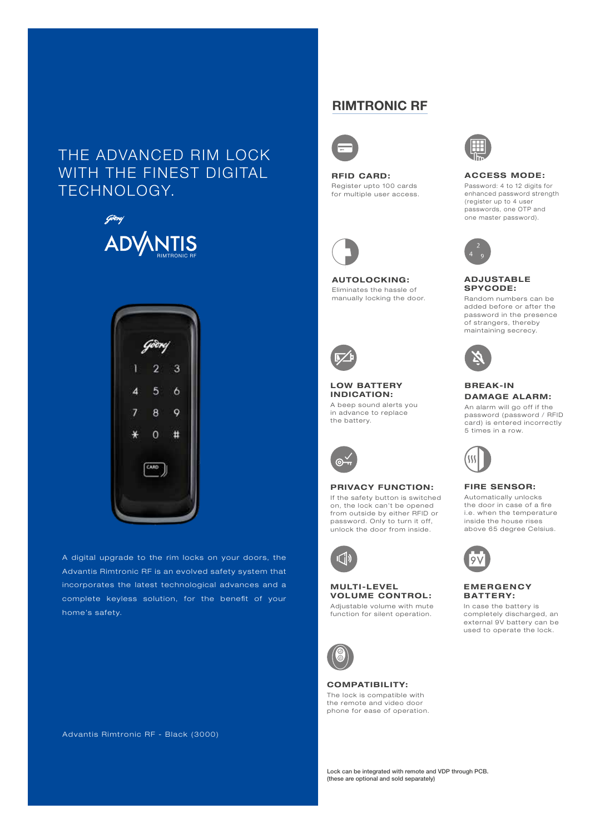# THE ADVANCED RIM LOCK WITH THE FINEST DIGITAL TECHNOLOGY.





A digital upgrade to the rim locks on your doors, the Advantis Rimtronic RF is an evolved safety system that incorporates the latest technological advances and a complete keyless solution, for the benefit of your home's safety.

Advantis Rimtronic RF - Black (3000)

## RIMTRONIC RF



RFID CARD: Register upto 100 cards for multiple user access.



AUTOLOCKING: Eliminates the hassle of manually locking the door.



#### LOW BATTERY INDICATION:

A beep sound alerts you in advance to replace the battery.



#### PRIVACY FUNCTION:

If the safety button is switched on, the lock can't be opened from outside by either RFID or password. Only to turn it off, unlock the door from inside.



## **MULTI-LEVEL** VOLUME CONTROL:

Adjustable volume with mute function for silent operation.



COMPATIBILITY: The lock is compatible with the remote and video door phone for ease of operation.



ACCESS MODE: Password: 4 to 12 digits for

enhanced password strength (register up to 4 user passwords, one OTP and one master password).



#### ADJUSTABLE SPYCODE:

Random numbers can be added before or after the password in the presence of strangers, thereby maintaining secrecy.



## BREAK-IN DAMAGE ALARM:

An alarm will go off if the password (password / RFID card) is entered incorrectly 5 times in a row.



## FIRE SENSOR:

Automatically unlocks the door in case of a fire i.e. when the temperature inside the house rises above 65 degree Celsius.



#### **EMERGENCY** BATTERY:

In case the battery is completely discharged, an external 9V battery can be used to operate the lock.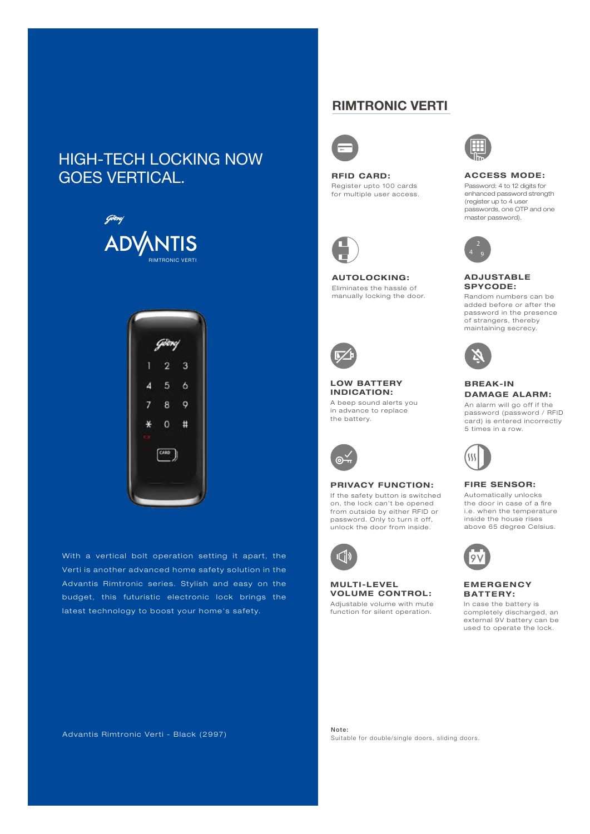# HIGH-TECH LOCKING NOW GOES VERTICAL.





With a vertical bolt operation setting it apart, the Verti is another advanced home safety solution in the Advantis Rimtronic series. Stylish and easy on the budget, this futuristic electronic lock brings the latest technology to boost your home's safety.

## RIMTRONIC VERTI



RFID CARD: Register upto 100 cards for multiple user access.



AUTOLOCKING: Eliminates the hassle of manually locking the door.



### LOW BATTERY INDICATION:

A beep sound alerts you in advance to replace the battery.



#### PRIVACY FUNCTION:

If the safety button is switched on, the lock can't be opened from outside by either RFID or password. Only to turn it off, unlock the door from inside.



#### MULTI-LEVEL VOLUME CONTROL: Adjustable volume with mute

function for silent operation.



ACCESS MODE: Password: 4 to 12 digits for enhanced password strength (register up to 4 user passwords, one OTP and one master password).



#### ADJUSTABLE SPYCODE:

Random numbers can be added before or after the password in the presence of strangers, thereby maintaining secrecy.



## BREAK-IN DAMAGE ALARM:

An alarm will go off if the password (password / RFID card) is entered incorrectly 5 times in a row.



## FIRE SENSOR:

Automatically unlocks the door in case of a fire i.e. when the temperature inside the house rises above 65 degree Celsius.



#### **EMERGENCY** BATTERY:

In case the battery is completely discharged, an external 9V battery can be used to operate the lock.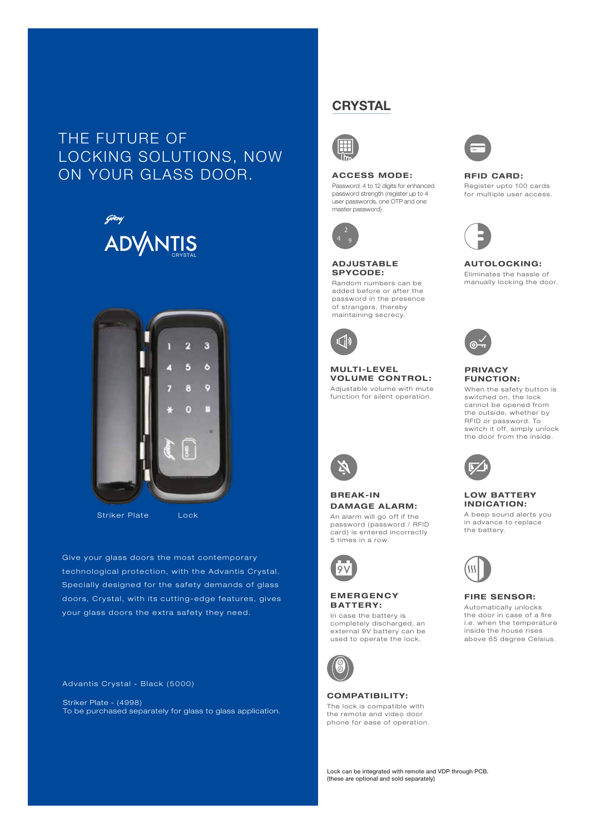# THE FUTURE OF LOCKING SOLUTIONS, NOW ON YOUR GLASS DOOR. ACCESS MODE: RFID CARD:





Striker Plate Lock

Give your glass doors the most contemporary technological protection, with the Advantis Crystal. Specially designed for the safety demands of glass doors, Crystal, with its cutting-edge features, gives your glass doors the extra safety they need.

Advantis Crystal - Black (5000)

Striker Plate - (4998) To be purchased separately for glass to glass application.

## **CRYSTAL**



### ACCESS MODE:

Password: 4 to 12 digits for enhanced password strength (register up to 4 user passwords, one OTP and one master password).



### ADJUSTABLE SPYCODE:

Random numbers can be added before or after the password in the presence of strangers, thereby maintaining secrecy.



**MULTI-LEVEL** VOLUME CONTROL: Adjustable volume with mute

function for silent operation.



## BREAK-IN DAMAGE ALARM: An alarm will go off if the

password (password / RFID card) is entered incorrectly 5 times in a row.



#### **EMERGENCY** BATTERY:

In case the battery is completely discharged, an external 9V battery can be used to operate the lock.



#### COMPATIBILITY:

The lock is compatible with the remote and video door phone for ease of operation.



## Register upto 100 cards for multiple user access.

#### AUTOLOCKING: Eliminates the hassle of manually locking the door.



## PRIVACY FUNCTION:

When the safety button is switched on, the lock cannot be opened from the outside, whether by RFID or password. To switch it off, simply unlock the door from the inside.



### LOW BATTERY INDICATION:

A beep sound alerts you in advance to replace the battery.



#### FIRE SENSOR:

Automatically unlocks the door in case of a fire i.e. when the temperature inside the house rises above 65 degree Celsius.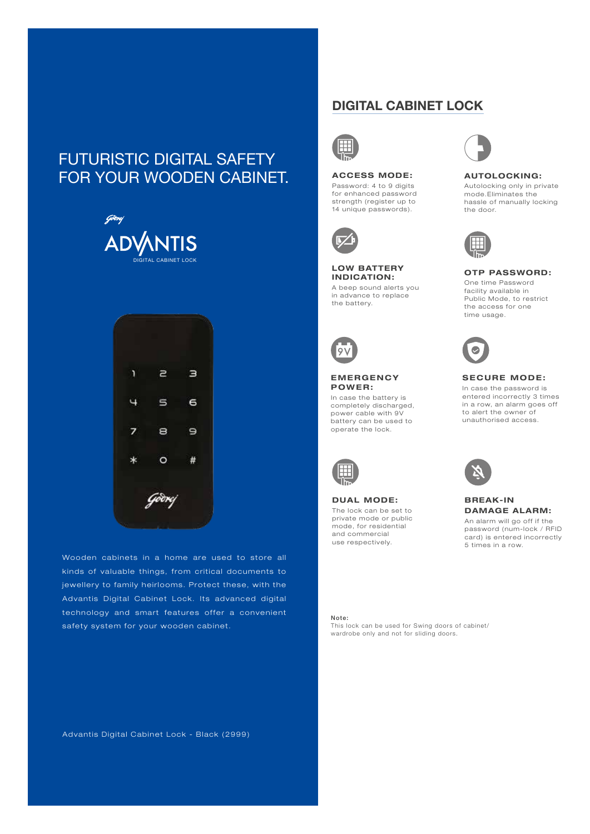# FUTURISTIC DIGITAL SAFETY FOR YOUR WOODEN CABINET.





Wooden cabinets in a home are used to store all kinds of valuable things, from critical documents to jewellery to family heirlooms. Protect these, with the Advantis Digital Cabinet Lock. Its advanced digital technology and smart features offer a convenient safety system for your wooden cabinet.

## DIGITAL CABINET LOCK



## ACCESS MODE:

Password: 4 to 9 digits for enhanced password strength (register up to 14 unique passwords).



#### LOW BATTERY INDICATION: A beep sound alerts you

in advance to replace the battery.



### **EMERGENCY** POWER :

In case the battery is completely discharged, power cable with 9V battery can be used to operate the lock.



DUAL MODE: The lock can be set to private mode or public mode, for residential and commercial use respectively.



#### AUTOLOCKING:

Autolocking only in private mode.Eliminates the hassle of manually locking the door.



## OTP PASSWORD:

One time Password facility available in Public Mode, to restrict the access for one time usage.



## **SECURE MODE:**

In case the password is entered incorrectly 3 times in a row, an alarm goes off to alert the owner of unauthorised access.



#### BREAK-IN DAMAGE ALARM: An alarm will go off if the password (num-lock / RFID card) is entered incorrectly 5 times in a row.

Note: This lock can be used for Swing doors of cabinet/ wardrobe only and not for sliding doors.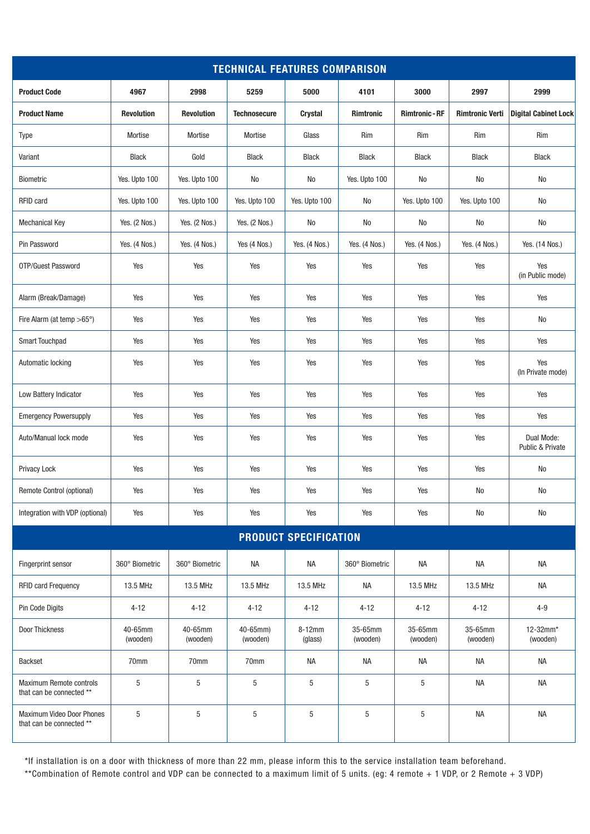| <b>TECHNICAL FEATURES COMPARISON</b>                  |                     |                     |                      |                   |                     |                       |                        |                                |  |  |
|-------------------------------------------------------|---------------------|---------------------|----------------------|-------------------|---------------------|-----------------------|------------------------|--------------------------------|--|--|
| <b>Product Code</b>                                   | 4967                | 2998                | 5259                 | 5000              | 4101                | 3000                  | 2997                   | 2999                           |  |  |
| <b>Product Name</b>                                   | <b>Revolution</b>   | <b>Revolution</b>   | <b>Technosecure</b>  | Crystal           | <b>Rimtronic</b>    | <b>Rimtronic - RF</b> | <b>Rimtronic Verti</b> | <b>Digital Cabinet Lock</b>    |  |  |
| Type                                                  | Mortise             | Mortise             | Mortise              | Glass             | Rim                 | Rim                   | Rim                    | Rim                            |  |  |
| Variant                                               | <b>Black</b>        | Gold                | <b>Black</b>         | <b>Black</b>      | <b>Black</b>        | <b>Black</b>          | <b>Black</b>           | <b>Black</b>                   |  |  |
| Biometric                                             | Yes. Upto 100       | Yes. Upto 100       | No                   | No                | Yes. Upto 100       | No                    | No                     | No                             |  |  |
| RFID card                                             | Yes. Upto 100       | Yes. Upto 100       | Yes. Upto 100        | Yes. Upto 100     | No                  | Yes. Upto 100         | Yes. Upto 100          | No                             |  |  |
| <b>Mechanical Key</b>                                 | Yes. (2 Nos.)       | Yes. (2 Nos.)       | Yes. (2 Nos.)        | No                | No                  | No                    | No                     | No                             |  |  |
| Pin Password                                          | Yes. (4 Nos.)       | Yes. (4 Nos.)       | Yes (4 Nos.)         | Yes. (4 Nos.)     | Yes. (4 Nos.)       | Yes. (4 Nos.)         | Yes. (4 Nos.)          | Yes. (14 Nos.)                 |  |  |
| OTP/Guest Password                                    | Yes                 | Yes                 | Yes                  | Yes               | Yes                 | Yes                   | Yes                    | Yes<br>(in Public mode)        |  |  |
| Alarm (Break/Damage)                                  | Yes                 | Yes                 | Yes                  | Yes               | Yes                 | Yes                   | Yes                    | Yes                            |  |  |
| Fire Alarm (at temp >65°)                             | Yes                 | Yes                 | Yes                  | Yes               | Yes                 | Yes                   | Yes                    | No                             |  |  |
| Smart Touchpad                                        | Yes                 | Yes                 | Yes                  | Yes               | Yes                 | Yes                   | Yes                    | Yes                            |  |  |
| Automatic locking                                     | Yes                 | Yes                 | Yes                  | Yes               | Yes                 | Yes                   | Yes                    | Yes<br>(In Private mode)       |  |  |
| Low Battery Indicator                                 | Yes                 | Yes                 | Yes                  | Yes               | Yes                 | Yes                   | Yes                    | Yes                            |  |  |
| <b>Emergency Powersupply</b>                          | Yes                 | Yes                 | Yes                  | Yes               | Yes                 | Yes                   | Yes                    | Yes                            |  |  |
| Auto/Manual lock mode                                 | Yes                 | Yes                 | Yes                  | Yes               | Yes                 | Yes                   | Yes                    | Dual Mode:<br>Public & Private |  |  |
| Privacy Lock                                          | Yes                 | Yes                 | Yes                  | Yes               | Yes                 | Yes                   | Yes                    | No                             |  |  |
| Remote Control (optional)                             | Yes                 | Yes                 | Yes                  | Yes               | Yes                 | Yes                   | No                     | No                             |  |  |
| Integration with VDP (optional)                       | Yes                 | Yes                 | Yes                  | Yes               | Yes                 | Yes                   | No                     | $\rm No$                       |  |  |
| <b>PRODUCT SPECIFICATION</b>                          |                     |                     |                      |                   |                     |                       |                        |                                |  |  |
| Fingerprint sensor                                    | 360° Biometric      | 360° Biometric      | <b>NA</b>            | <b>NA</b>         | 360° Biometric      | NA                    | <b>NA</b>              | <b>NA</b>                      |  |  |
| RFID card Frequency                                   | 13.5 MHz            | 13.5 MHz            | 13.5 MHz             | 13.5 MHz          | <b>NA</b>           | 13.5 MHz              | 13.5 MHz               | <b>NA</b>                      |  |  |
| Pin Code Digits                                       | $4 - 12$            | $4 - 12$            | $4 - 12$             | $4 - 12$          | $4 - 12$            | $4 - 12$              | $4 - 12$               | $4 - 9$                        |  |  |
| Door Thickness                                        | 40-65mm<br>(wooden) | 40-65mm<br>(wooden) | 40-65mm)<br>(wooden) | 8-12mm<br>(glass) | 35-65mm<br>(wooden) | 35-65mm<br>(wooden)   | 35-65mm<br>(wooden)    | 12-32mm*<br>(wooden)           |  |  |
| <b>Backset</b>                                        | 70mm                | 70mm                | 70mm                 | <b>NA</b>         | <b>NA</b>           | NA                    | NA                     | <b>NA</b>                      |  |  |
| Maximum Remote controls<br>that can be connected **   | $\sqrt{5}$          | $\sqrt{5}$          | 5                    | 5                 | $\sqrt{5}$          | $\,$ 5 $\,$           | NA                     | <b>NA</b>                      |  |  |
| Maximum Video Door Phones<br>that can be connected ** | $\,$ 5 $\,$         | $\sqrt{5}$          | 5                    | 5                 | $\sqrt{5}$          | $\,$ 5 $\,$           | <b>NA</b>              | NA                             |  |  |

\*If installation is on a door with thickness of more than 22 mm, please inform this to the service installation team beforehand.

\*\*Combination of Remote control and VDP can be connected to a maximum limit of 5 units. (eg: 4 remote + 1 VDP, or 2 Remote + 3 VDP)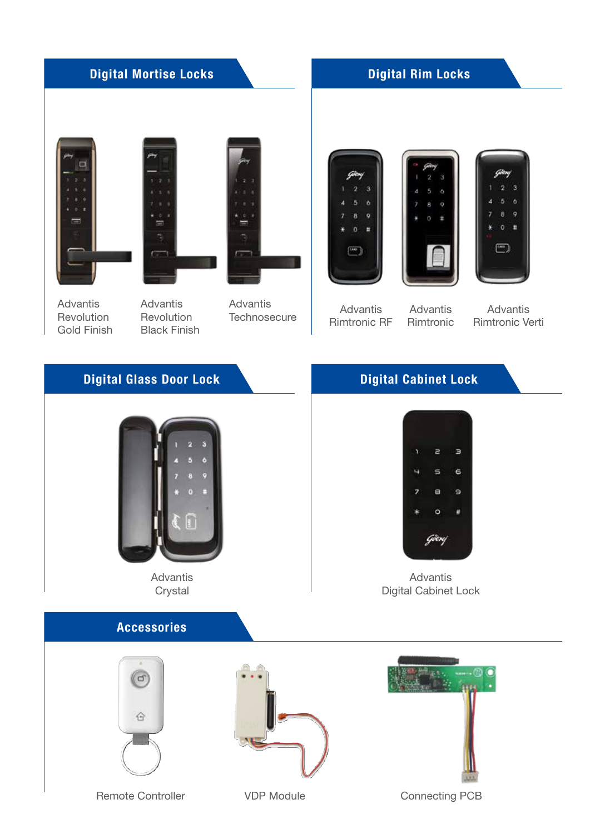# Digital Mortise Locks

## Digital Rim Locks







Advantis **Revolution** Gold Finish

Advantis **Revolution** Black Finish

Advantis **Technosecure** 







Advantis Rimtronic RF

**Advantis** Rimtronic

Advantis Rimtronic Verti

## Digital Glass Door Lock



Advantis **Crystal** 

## Accessories







Remote Controller **VDP Module** Connecting PCB

# Digital Cabinet Lock



Advantis Digital Cabinet Lock